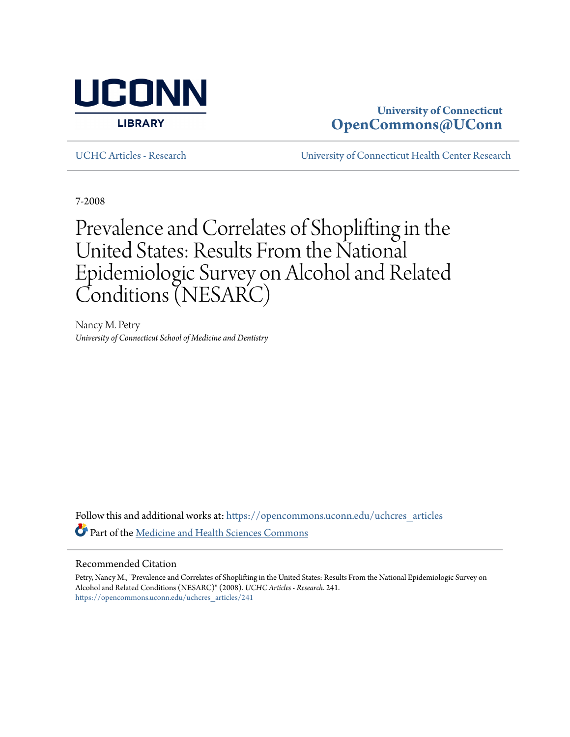

### **University of Connecticut [OpenCommons@UConn](https://opencommons.uconn.edu?utm_source=opencommons.uconn.edu%2Fuchcres_articles%2F241&utm_medium=PDF&utm_campaign=PDFCoverPages)**

[UCHC Articles - Research](https://opencommons.uconn.edu/uchcres_articles?utm_source=opencommons.uconn.edu%2Fuchcres_articles%2F241&utm_medium=PDF&utm_campaign=PDFCoverPages) [University of Connecticut Health Center Research](https://opencommons.uconn.edu/uchcres?utm_source=opencommons.uconn.edu%2Fuchcres_articles%2F241&utm_medium=PDF&utm_campaign=PDFCoverPages)

7-2008

### Prevalence and Correlates of Shoplifting in the United States: Results From the National Epidemiologic Survey on Alcohol and Related Conditions (NESARC)

Nancy M. Petry *University of Connecticut School of Medicine and Dentistry*

Follow this and additional works at: [https://opencommons.uconn.edu/uchcres\\_articles](https://opencommons.uconn.edu/uchcres_articles?utm_source=opencommons.uconn.edu%2Fuchcres_articles%2F241&utm_medium=PDF&utm_campaign=PDFCoverPages) Part of the [Medicine and Health Sciences Commons](http://network.bepress.com/hgg/discipline/648?utm_source=opencommons.uconn.edu%2Fuchcres_articles%2F241&utm_medium=PDF&utm_campaign=PDFCoverPages)

#### Recommended Citation

Petry, Nancy M., "Prevalence and Correlates of Shoplifting in the United States: Results From the National Epidemiologic Survey on Alcohol and Related Conditions (NESARC)" (2008). *UCHC Articles - Research*. 241. [https://opencommons.uconn.edu/uchcres\\_articles/241](https://opencommons.uconn.edu/uchcres_articles/241?utm_source=opencommons.uconn.edu%2Fuchcres_articles%2F241&utm_medium=PDF&utm_campaign=PDFCoverPages)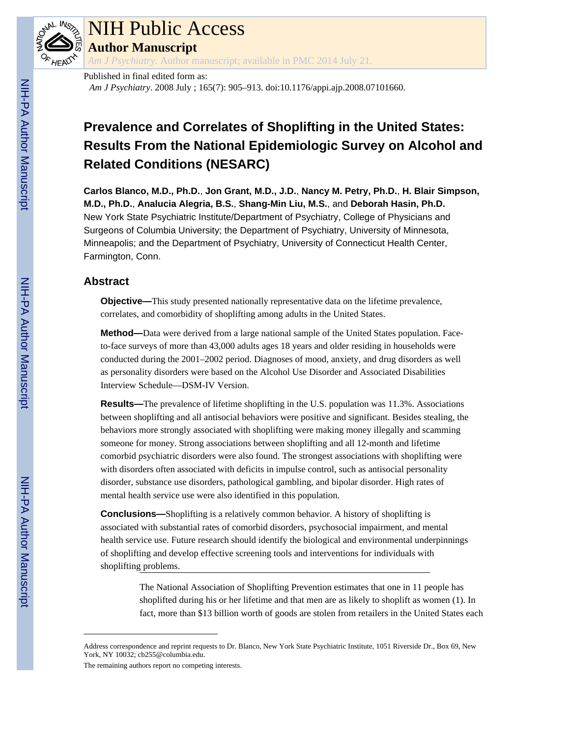

### NIH Public Access

**Author Manuscript**

*Am J Psychiatry*. Author manuscript; available in PMC 2014 July 21.

Published in final edited form as: *Am J Psychiatry*. 2008 July ; 165(7): 905–913. doi:10.1176/appi.ajp.2008.07101660.

### **Prevalence and Correlates of Shoplifting in the United States: Results From the National Epidemiologic Survey on Alcohol and Related Conditions (NESARC)**

**Carlos Blanco, M.D., Ph.D.**, **Jon Grant, M.D., J.D.**, **Nancy M. Petry, Ph.D.**, **H. Blair Simpson, M.D., Ph.D.**, **Analucia Alegria, B.S.**, **Shang-Min Liu, M.S.**, and **Deborah Hasin, Ph.D.** New York State Psychiatric Institute/Department of Psychiatry, College of Physicians and Surgeons of Columbia University; the Department of Psychiatry, University of Minnesota, Minneapolis; and the Department of Psychiatry, University of Connecticut Health Center, Farmington, Conn.

#### **Abstract**

**Objective—**This study presented nationally representative data on the lifetime prevalence, correlates, and comorbidity of shoplifting among adults in the United States.

**Method—**Data were derived from a large national sample of the United States population. Faceto-face surveys of more than 43,000 adults ages 18 years and older residing in households were conducted during the 2001–2002 period. Diagnoses of mood, anxiety, and drug disorders as well as personality disorders were based on the Alcohol Use Disorder and Associated Disabilities Interview Schedule—DSM-IV Version.

**Results—**The prevalence of lifetime shoplifting in the U.S. population was 11.3%. Associations between shoplifting and all antisocial behaviors were positive and significant. Besides stealing, the behaviors more strongly associated with shoplifting were making money illegally and scamming someone for money. Strong associations between shoplifting and all 12-month and lifetime comorbid psychiatric disorders were also found. The strongest associations with shoplifting were with disorders often associated with deficits in impulse control, such as antisocial personality disorder, substance use disorders, pathological gambling, and bipolar disorder. High rates of mental health service use were also identified in this population.

**Conclusions—**Shoplifting is a relatively common behavior. A history of shoplifting is associated with substantial rates of comorbid disorders, psychosocial impairment, and mental health service use. Future research should identify the biological and environmental underpinnings of shoplifting and develop effective screening tools and interventions for individuals with shoplifting problems.

> The National Association of Shoplifting Prevention estimates that one in 11 people has shoplifted during his or her lifetime and that men are as likely to shoplift as women (1). In fact, more than \$13 billion worth of goods are stolen from retailers in the United States each

Address correspondence and reprint requests to Dr. Blanco, New York State Psychiatric Institute, 1051 Riverside Dr., Box 69, New York, NY 10032; cb255@columbia.edu.

The remaining authors report no competing interests.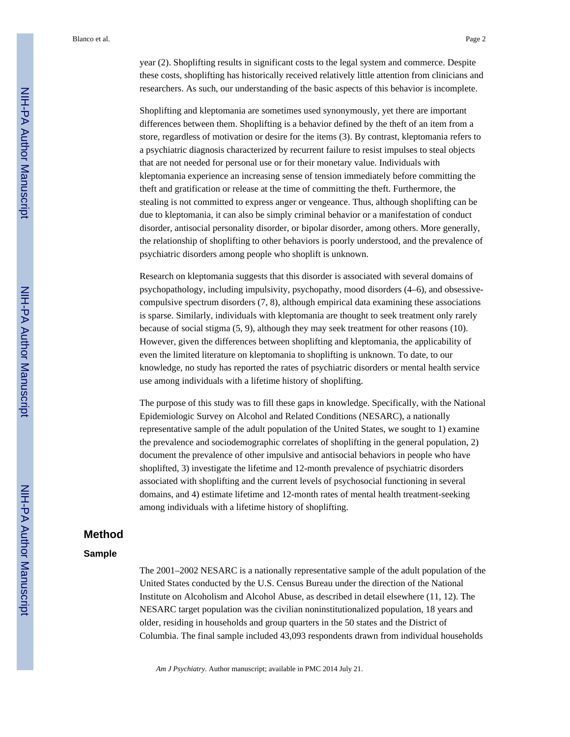year (2). Shoplifting results in significant costs to the legal system and commerce. Despite these costs, shoplifting has historically received relatively little attention from clinicians and researchers. As such, our understanding of the basic aspects of this behavior is incomplete.

Shoplifting and kleptomania are sometimes used synonymously, yet there are important differences between them. Shoplifting is a behavior defined by the theft of an item from a store, regardless of motivation or desire for the items (3). By contrast, kleptomania refers to a psychiatric diagnosis characterized by recurrent failure to resist impulses to steal objects that are not needed for personal use or for their monetary value. Individuals with kleptomania experience an increasing sense of tension immediately before committing the theft and gratification or release at the time of committing the theft. Furthermore, the stealing is not committed to express anger or vengeance. Thus, although shoplifting can be due to kleptomania, it can also be simply criminal behavior or a manifestation of conduct disorder, antisocial personality disorder, or bipolar disorder, among others. More generally, the relationship of shoplifting to other behaviors is poorly understood, and the prevalence of psychiatric disorders among people who shoplift is unknown.

Research on kleptomania suggests that this disorder is associated with several domains of psychopathology, including impulsivity, psychopathy, mood disorders (4–6), and obsessivecompulsive spectrum disorders (7, 8), although empirical data examining these associations is sparse. Similarly, individuals with kleptomania are thought to seek treatment only rarely because of social stigma (5, 9), although they may seek treatment for other reasons (10). However, given the differences between shoplifting and kleptomania, the applicability of even the limited literature on kleptomania to shoplifting is unknown. To date, to our knowledge, no study has reported the rates of psychiatric disorders or mental health service use among individuals with a lifetime history of shoplifting.

The purpose of this study was to fill these gaps in knowledge. Specifically, with the National Epidemiologic Survey on Alcohol and Related Conditions (NESARC), a nationally representative sample of the adult population of the United States, we sought to 1) examine the prevalence and sociodemographic correlates of shoplifting in the general population, 2) document the prevalence of other impulsive and antisocial behaviors in people who have shoplifted, 3) investigate the lifetime and 12-month prevalence of psychiatric disorders associated with shoplifting and the current levels of psychosocial functioning in several domains, and 4) estimate lifetime and 12-month rates of mental health treatment-seeking among individuals with a lifetime history of shoplifting.

#### **Method**

#### **Sample**

The 2001–2002 NESARC is a nationally representative sample of the adult population of the United States conducted by the U.S. Census Bureau under the direction of the National Institute on Alcoholism and Alcohol Abuse, as described in detail elsewhere (11, 12). The NESARC target population was the civilian noninstitutionalized population, 18 years and older, residing in households and group quarters in the 50 states and the District of Columbia. The final sample included 43,093 respondents drawn from individual households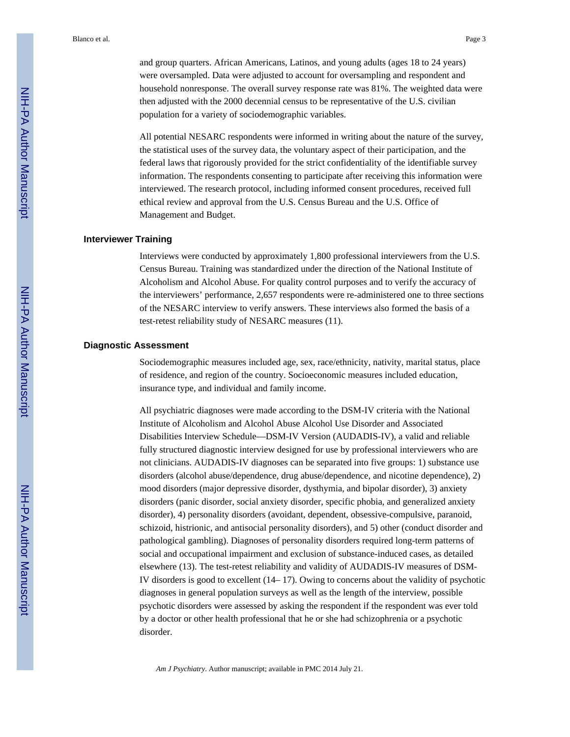and group quarters. African Americans, Latinos, and young adults (ages 18 to 24 years) were oversampled. Data were adjusted to account for oversampling and respondent and household nonresponse. The overall survey response rate was 81%. The weighted data were then adjusted with the 2000 decennial census to be representative of the U.S. civilian population for a variety of sociodemographic variables.

All potential NESARC respondents were informed in writing about the nature of the survey, the statistical uses of the survey data, the voluntary aspect of their participation, and the federal laws that rigorously provided for the strict confidentiality of the identifiable survey information. The respondents consenting to participate after receiving this information were interviewed. The research protocol, including informed consent procedures, received full ethical review and approval from the U.S. Census Bureau and the U.S. Office of Management and Budget.

#### **Interviewer Training**

Interviews were conducted by approximately 1,800 professional interviewers from the U.S. Census Bureau. Training was standardized under the direction of the National Institute of Alcoholism and Alcohol Abuse. For quality control purposes and to verify the accuracy of the interviewers' performance, 2,657 respondents were re-administered one to three sections of the NESARC interview to verify answers. These interviews also formed the basis of a test-retest reliability study of NESARC measures (11).

#### **Diagnostic Assessment**

Sociodemographic measures included age, sex, race/ethnicity, nativity, marital status, place of residence, and region of the country. Socioeconomic measures included education, insurance type, and individual and family income.

All psychiatric diagnoses were made according to the DSM-IV criteria with the National Institute of Alcoholism and Alcohol Abuse Alcohol Use Disorder and Associated Disabilities Interview Schedule—DSM-IV Version (AUDADIS-IV), a valid and reliable fully structured diagnostic interview designed for use by professional interviewers who are not clinicians. AUDADIS-IV diagnoses can be separated into five groups: 1) substance use disorders (alcohol abuse/dependence, drug abuse/dependence, and nicotine dependence), 2) mood disorders (major depressive disorder, dysthymia, and bipolar disorder), 3) anxiety disorders (panic disorder, social anxiety disorder, specific phobia, and generalized anxiety disorder), 4) personality disorders (avoidant, dependent, obsessive-compulsive, paranoid, schizoid, histrionic, and antisocial personality disorders), and 5) other (conduct disorder and pathological gambling). Diagnoses of personality disorders required long-term patterns of social and occupational impairment and exclusion of substance-induced cases, as detailed elsewhere (13). The test-retest reliability and validity of AUDADIS-IV measures of DSM-IV disorders is good to excellent (14– 17). Owing to concerns about the validity of psychotic diagnoses in general population surveys as well as the length of the interview, possible psychotic disorders were assessed by asking the respondent if the respondent was ever told by a doctor or other health professional that he or she had schizophrenia or a psychotic disorder.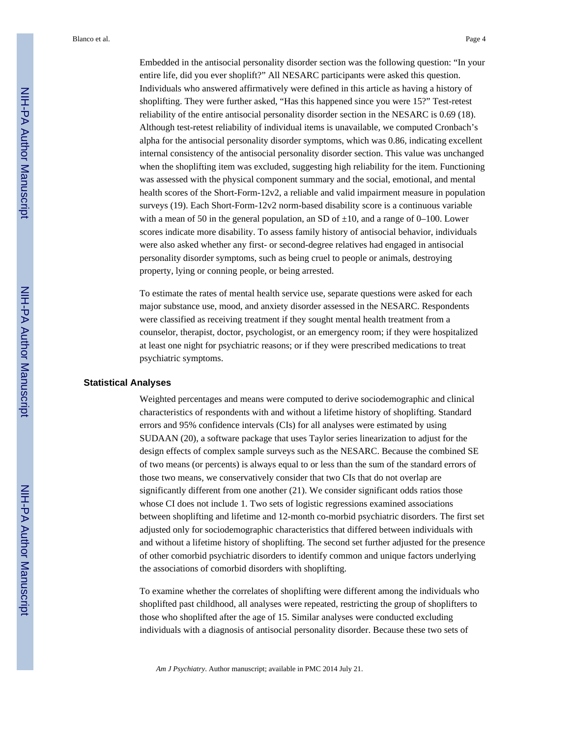Embedded in the antisocial personality disorder section was the following question: "In your entire life, did you ever shoplift?" All NESARC participants were asked this question. Individuals who answered affirmatively were defined in this article as having a history of shoplifting. They were further asked, "Has this happened since you were 15?" Test-retest reliability of the entire antisocial personality disorder section in the NESARC is 0.69 (18). Although test-retest reliability of individual items is unavailable, we computed Cronbach's alpha for the antisocial personality disorder symptoms, which was 0.86, indicating excellent internal consistency of the antisocial personality disorder section. This value was unchanged when the shoplifting item was excluded, suggesting high reliability for the item. Functioning was assessed with the physical component summary and the social, emotional, and mental health scores of the Short-Form-12v2, a reliable and valid impairment measure in population surveys (19). Each Short-Form-12v2 norm-based disability score is a continuous variable with a mean of 50 in the general population, an SD of  $\pm 10$ , and a range of 0–100. Lower scores indicate more disability. To assess family history of antisocial behavior, individuals were also asked whether any first- or second-degree relatives had engaged in antisocial personality disorder symptoms, such as being cruel to people or animals, destroying property, lying or conning people, or being arrested.

To estimate the rates of mental health service use, separate questions were asked for each major substance use, mood, and anxiety disorder assessed in the NESARC. Respondents were classified as receiving treatment if they sought mental health treatment from a counselor, therapist, doctor, psychologist, or an emergency room; if they were hospitalized at least one night for psychiatric reasons; or if they were prescribed medications to treat psychiatric symptoms.

#### **Statistical Analyses**

Weighted percentages and means were computed to derive sociodemographic and clinical characteristics of respondents with and without a lifetime history of shoplifting. Standard errors and 95% confidence intervals (CIs) for all analyses were estimated by using SUDAAN (20), a software package that uses Taylor series linearization to adjust for the design effects of complex sample surveys such as the NESARC. Because the combined SE of two means (or percents) is always equal to or less than the sum of the standard errors of those two means, we conservatively consider that two CIs that do not overlap are significantly different from one another (21). We consider significant odds ratios those whose CI does not include 1. Two sets of logistic regressions examined associations between shoplifting and lifetime and 12-month co-morbid psychiatric disorders. The first set adjusted only for sociodemographic characteristics that differed between individuals with and without a lifetime history of shoplifting. The second set further adjusted for the presence of other comorbid psychiatric disorders to identify common and unique factors underlying the associations of comorbid disorders with shoplifting.

To examine whether the correlates of shoplifting were different among the individuals who shoplifted past childhood, all analyses were repeated, restricting the group of shoplifters to those who shoplifted after the age of 15. Similar analyses were conducted excluding individuals with a diagnosis of antisocial personality disorder. Because these two sets of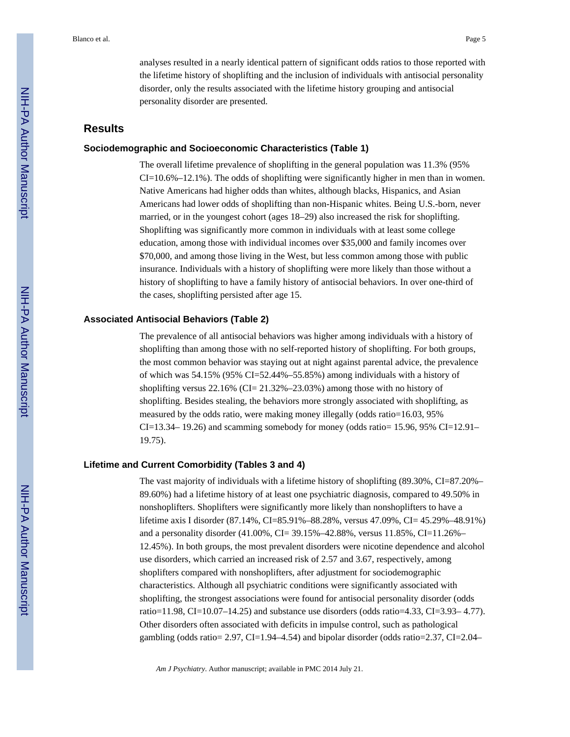analyses resulted in a nearly identical pattern of significant odds ratios to those reported with the lifetime history of shoplifting and the inclusion of individuals with antisocial personality disorder, only the results associated with the lifetime history grouping and antisocial personality disorder are presented.

#### **Results**

#### **Sociodemographic and Socioeconomic Characteristics (Table 1)**

The overall lifetime prevalence of shoplifting in the general population was 11.3% (95% CI=10.6%–12.1%). The odds of shoplifting were significantly higher in men than in women. Native Americans had higher odds than whites, although blacks, Hispanics, and Asian Americans had lower odds of shoplifting than non-Hispanic whites. Being U.S.-born, never married, or in the youngest cohort (ages 18–29) also increased the risk for shoplifting. Shoplifting was significantly more common in individuals with at least some college education, among those with individual incomes over \$35,000 and family incomes over \$70,000, and among those living in the West, but less common among those with public insurance. Individuals with a history of shoplifting were more likely than those without a history of shoplifting to have a family history of antisocial behaviors. In over one-third of the cases, shoplifting persisted after age 15.

#### **Associated Antisocial Behaviors (Table 2)**

The prevalence of all antisocial behaviors was higher among individuals with a history of shoplifting than among those with no self-reported history of shoplifting. For both groups, the most common behavior was staying out at night against parental advice, the prevalence of which was 54.15% (95% CI=52.44%–55.85%) among individuals with a history of shoplifting versus  $22.16\%$  (CI=  $21.32\%$  –  $23.03\%$ ) among those with no history of shoplifting. Besides stealing, the behaviors more strongly associated with shoplifting, as measured by the odds ratio, were making money illegally (odds ratio=16.03, 95%  $CI=13.34-19.26$ ) and scamming somebody for money (odds ratio= 15.96, 95%  $CI=12.91-$ 19.75).

#### **Lifetime and Current Comorbidity (Tables 3 and 4)**

The vast majority of individuals with a lifetime history of shoplifting (89.30%, CI=87.20%– 89.60%) had a lifetime history of at least one psychiatric diagnosis, compared to 49.50% in nonshoplifters. Shoplifters were significantly more likely than nonshoplifters to have a lifetime axis I disorder (87.14%, CI=85.91%–88.28%, versus 47.09%, CI= 45.29%–48.91%) and a personality disorder (41.00%, CI= 39.15%–42.88%, versus 11.85%, CI=11.26%– 12.45%). In both groups, the most prevalent disorders were nicotine dependence and alcohol use disorders, which carried an increased risk of 2.57 and 3.67, respectively, among shoplifters compared with nonshoplifters, after adjustment for sociodemographic characteristics. Although all psychiatric conditions were significantly associated with shoplifting, the strongest associations were found for antisocial personality disorder (odds ratio=11.98, CI=10.07–14.25) and substance use disorders (odds ratio=4.33, CI=3.93– 4.77). Other disorders often associated with deficits in impulse control, such as pathological gambling (odds ratio= 2.97, CI=1.94–4.54) and bipolar disorder (odds ratio=2.37, CI=2.04–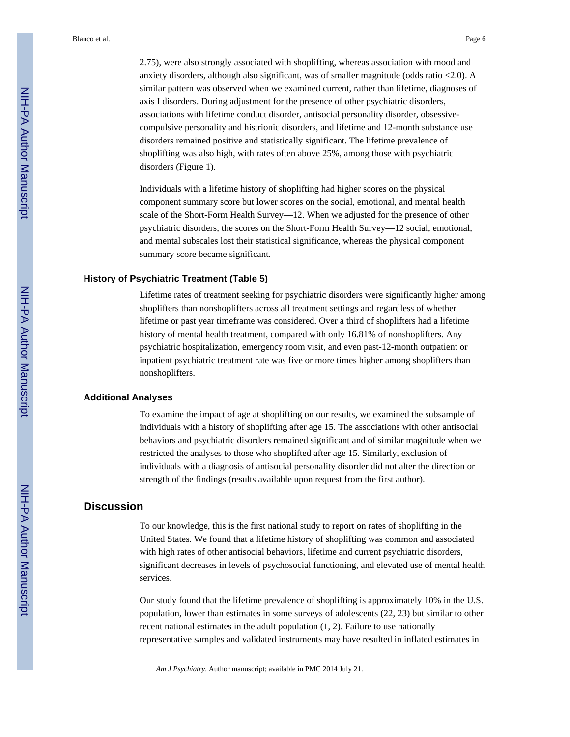2.75), were also strongly associated with shoplifting, whereas association with mood and anxiety disorders, although also significant, was of smaller magnitude (odds ratio <2.0). A similar pattern was observed when we examined current, rather than lifetime, diagnoses of axis I disorders. During adjustment for the presence of other psychiatric disorders, associations with lifetime conduct disorder, antisocial personality disorder, obsessivecompulsive personality and histrionic disorders, and lifetime and 12-month substance use disorders remained positive and statistically significant. The lifetime prevalence of shoplifting was also high, with rates often above 25%, among those with psychiatric disorders (Figure 1).

Individuals with a lifetime history of shoplifting had higher scores on the physical component summary score but lower scores on the social, emotional, and mental health scale of the Short-Form Health Survey—12. When we adjusted for the presence of other psychiatric disorders, the scores on the Short-Form Health Survey—12 social, emotional, and mental subscales lost their statistical significance, whereas the physical component summary score became significant.

#### **History of Psychiatric Treatment (Table 5)**

Lifetime rates of treatment seeking for psychiatric disorders were significantly higher among shoplifters than nonshoplifters across all treatment settings and regardless of whether lifetime or past year timeframe was considered. Over a third of shoplifters had a lifetime history of mental health treatment, compared with only 16.81% of nonshoplifters. Any psychiatric hospitalization, emergency room visit, and even past-12-month outpatient or inpatient psychiatric treatment rate was five or more times higher among shoplifters than nonshoplifters.

#### **Additional Analyses**

To examine the impact of age at shoplifting on our results, we examined the subsample of individuals with a history of shoplifting after age 15. The associations with other antisocial behaviors and psychiatric disorders remained significant and of similar magnitude when we restricted the analyses to those who shoplifted after age 15. Similarly, exclusion of individuals with a diagnosis of antisocial personality disorder did not alter the direction or strength of the findings (results available upon request from the first author).

#### **Discussion**

To our knowledge, this is the first national study to report on rates of shoplifting in the United States. We found that a lifetime history of shoplifting was common and associated with high rates of other antisocial behaviors, lifetime and current psychiatric disorders, significant decreases in levels of psychosocial functioning, and elevated use of mental health services.

Our study found that the lifetime prevalence of shoplifting is approximately 10% in the U.S. population, lower than estimates in some surveys of adolescents (22, 23) but similar to other recent national estimates in the adult population (1, 2). Failure to use nationally representative samples and validated instruments may have resulted in inflated estimates in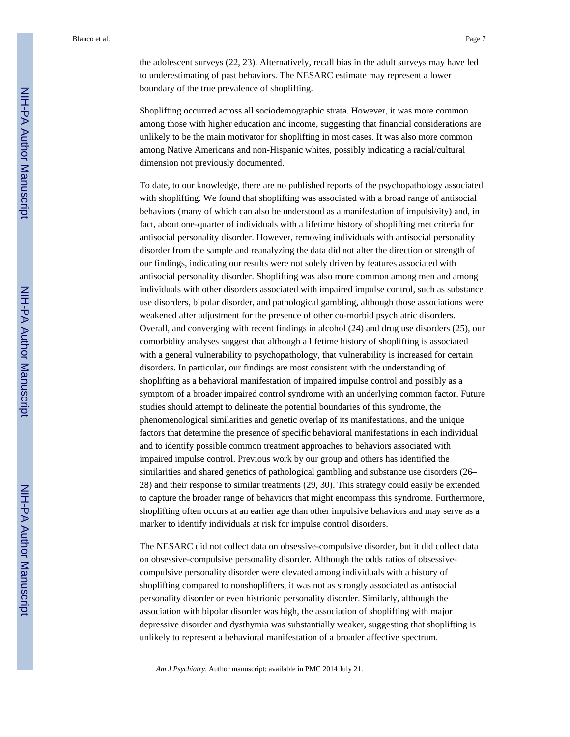the adolescent surveys (22, 23). Alternatively, recall bias in the adult surveys may have led to underestimating of past behaviors. The NESARC estimate may represent a lower boundary of the true prevalence of shoplifting.

Shoplifting occurred across all sociodemographic strata. However, it was more common among those with higher education and income, suggesting that financial considerations are unlikely to be the main motivator for shoplifting in most cases. It was also more common among Native Americans and non-Hispanic whites, possibly indicating a racial/cultural dimension not previously documented.

To date, to our knowledge, there are no published reports of the psychopathology associated with shoplifting. We found that shoplifting was associated with a broad range of antisocial behaviors (many of which can also be understood as a manifestation of impulsivity) and, in fact, about one-quarter of individuals with a lifetime history of shoplifting met criteria for antisocial personality disorder. However, removing individuals with antisocial personality disorder from the sample and reanalyzing the data did not alter the direction or strength of our findings, indicating our results were not solely driven by features associated with antisocial personality disorder. Shoplifting was also more common among men and among individuals with other disorders associated with impaired impulse control, such as substance use disorders, bipolar disorder, and pathological gambling, although those associations were weakened after adjustment for the presence of other co-morbid psychiatric disorders. Overall, and converging with recent findings in alcohol (24) and drug use disorders (25), our comorbidity analyses suggest that although a lifetime history of shoplifting is associated with a general vulnerability to psychopathology, that vulnerability is increased for certain disorders. In particular, our findings are most consistent with the understanding of shoplifting as a behavioral manifestation of impaired impulse control and possibly as a symptom of a broader impaired control syndrome with an underlying common factor. Future studies should attempt to delineate the potential boundaries of this syndrome, the phenomenological similarities and genetic overlap of its manifestations, and the unique factors that determine the presence of specific behavioral manifestations in each individual and to identify possible common treatment approaches to behaviors associated with impaired impulse control. Previous work by our group and others has identified the similarities and shared genetics of pathological gambling and substance use disorders (26– 28) and their response to similar treatments (29, 30). This strategy could easily be extended to capture the broader range of behaviors that might encompass this syndrome. Furthermore, shoplifting often occurs at an earlier age than other impulsive behaviors and may serve as a marker to identify individuals at risk for impulse control disorders.

The NESARC did not collect data on obsessive-compulsive disorder, but it did collect data on obsessive-compulsive personality disorder. Although the odds ratios of obsessivecompulsive personality disorder were elevated among individuals with a history of shoplifting compared to nonshoplifters, it was not as strongly associated as antisocial personality disorder or even histrionic personality disorder. Similarly, although the association with bipolar disorder was high, the association of shoplifting with major depressive disorder and dysthymia was substantially weaker, suggesting that shoplifting is unlikely to represent a behavioral manifestation of a broader affective spectrum.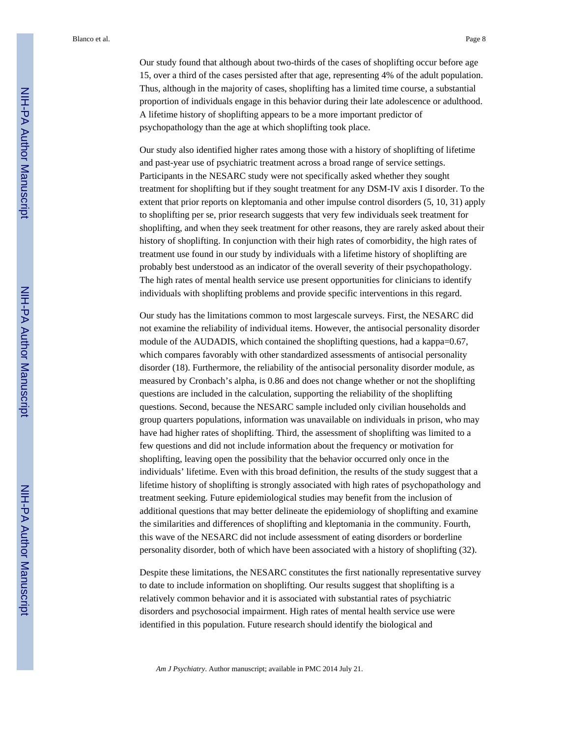Our study found that although about two-thirds of the cases of shoplifting occur before age 15, over a third of the cases persisted after that age, representing 4% of the adult population. Thus, although in the majority of cases, shoplifting has a limited time course, a substantial proportion of individuals engage in this behavior during their late adolescence or adulthood. A lifetime history of shoplifting appears to be a more important predictor of psychopathology than the age at which shoplifting took place.

Our study also identified higher rates among those with a history of shoplifting of lifetime and past-year use of psychiatric treatment across a broad range of service settings. Participants in the NESARC study were not specifically asked whether they sought treatment for shoplifting but if they sought treatment for any DSM-IV axis I disorder. To the extent that prior reports on kleptomania and other impulse control disorders (5, 10, 31) apply to shoplifting per se, prior research suggests that very few individuals seek treatment for shoplifting, and when they seek treatment for other reasons, they are rarely asked about their history of shoplifting. In conjunction with their high rates of comorbidity, the high rates of treatment use found in our study by individuals with a lifetime history of shoplifting are probably best understood as an indicator of the overall severity of their psychopathology. The high rates of mental health service use present opportunities for clinicians to identify individuals with shoplifting problems and provide specific interventions in this regard.

Our study has the limitations common to most largescale surveys. First, the NESARC did not examine the reliability of individual items. However, the antisocial personality disorder module of the AUDADIS, which contained the shoplifting questions, had a kappa=0.67, which compares favorably with other standardized assessments of antisocial personality disorder (18). Furthermore, the reliability of the antisocial personality disorder module, as measured by Cronbach's alpha, is 0.86 and does not change whether or not the shoplifting questions are included in the calculation, supporting the reliability of the shoplifting questions. Second, because the NESARC sample included only civilian households and group quarters populations, information was unavailable on individuals in prison, who may have had higher rates of shoplifting. Third, the assessment of shoplifting was limited to a few questions and did not include information about the frequency or motivation for shoplifting, leaving open the possibility that the behavior occurred only once in the individuals' lifetime. Even with this broad definition, the results of the study suggest that a lifetime history of shoplifting is strongly associated with high rates of psychopathology and treatment seeking. Future epidemiological studies may benefit from the inclusion of additional questions that may better delineate the epidemiology of shoplifting and examine the similarities and differences of shoplifting and kleptomania in the community. Fourth, this wave of the NESARC did not include assessment of eating disorders or borderline personality disorder, both of which have been associated with a history of shoplifting (32).

Despite these limitations, the NESARC constitutes the first nationally representative survey to date to include information on shoplifting. Our results suggest that shoplifting is a relatively common behavior and it is associated with substantial rates of psychiatric disorders and psychosocial impairment. High rates of mental health service use were identified in this population. Future research should identify the biological and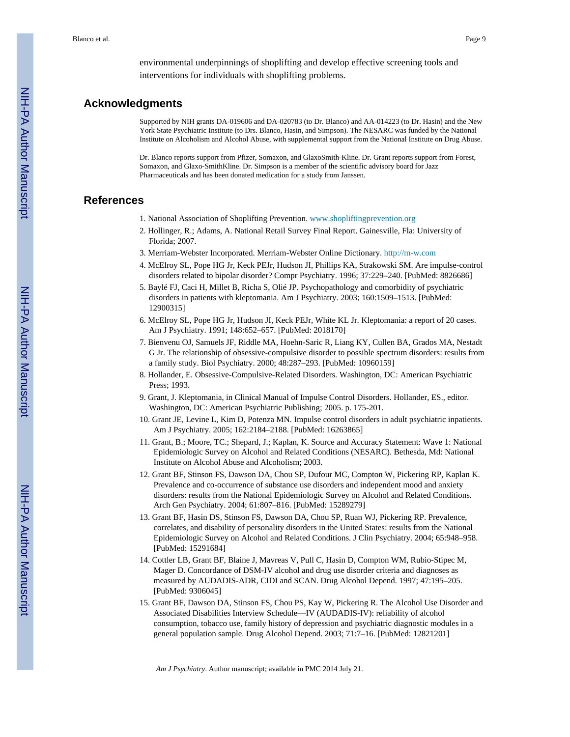environmental underpinnings of shoplifting and develop effective screening tools and interventions for individuals with shoplifting problems.

#### **Acknowledgments**

Supported by NIH grants DA-019606 and DA-020783 (to Dr. Blanco) and AA-014223 (to Dr. Hasin) and the New York State Psychiatric Institute (to Drs. Blanco, Hasin, and Simpson). The NESARC was funded by the National Institute on Alcoholism and Alcohol Abuse, with supplemental support from the National Institute on Drug Abuse.

Dr. Blanco reports support from Pfizer, Somaxon, and GlaxoSmith-Kline. Dr. Grant reports support from Forest, Somaxon, and Glaxo-SmithKline. Dr. Simpson is a member of the scientific advisory board for Jazz Pharmaceuticals and has been donated medication for a study from Janssen.

#### **References**

- 1. National Association of Shoplifting Prevention. [www.shopliftingprevention.org](http://www.shopliftingprevention.org)
- 2. Hollinger, R.; Adams, A. National Retail Survey Final Report. Gainesville, Fla: University of Florida; 2007.
- 3. Merriam-Webster Incorporated. Merriam-Webster Online Dictionary. <http://m-w.com>
- 4. McElroy SL, Pope HG Jr, Keck PEJr, Hudson JI, Phillips KA, Strakowski SM. Are impulse-control disorders related to bipolar disorder? Compr Psychiatry. 1996; 37:229–240. [PubMed: 8826686]
- 5. Baylé FJ, Caci H, Millet B, Richa S, Olié JP. Psychopathology and comorbidity of psychiatric disorders in patients with kleptomania. Am J Psychiatry. 2003; 160:1509–1513. [PubMed: 12900315]
- 6. McElroy SL, Pope HG Jr, Hudson JI, Keck PEJr, White KL Jr. Kleptomania: a report of 20 cases. Am J Psychiatry. 1991; 148:652–657. [PubMed: 2018170]
- 7. Bienvenu OJ, Samuels JF, Riddle MA, Hoehn-Saric R, Liang KY, Cullen BA, Grados MA, Nestadt G Jr. The relationship of obsessive-compulsive disorder to possible spectrum disorders: results from a family study. Biol Psychiatry. 2000; 48:287–293. [PubMed: 10960159]
- 8. Hollander, E. Obsessive-Compulsive-Related Disorders. Washington, DC: American Psychiatric Press; 1993.
- 9. Grant, J. Kleptomania, in Clinical Manual of Impulse Control Disorders. Hollander, ES., editor. Washington, DC: American Psychiatric Publishing; 2005. p. 175-201.
- 10. Grant JE, Levine L, Kim D, Potenza MN. Impulse control disorders in adult psychiatric inpatients. Am J Psychiatry. 2005; 162:2184–2188. [PubMed: 16263865]
- 11. Grant, B.; Moore, TC.; Shepard, J.; Kaplan, K. Source and Accuracy Statement: Wave 1: National Epidemiologic Survey on Alcohol and Related Conditions (NESARC). Bethesda, Md: National Institute on Alcohol Abuse and Alcoholism; 2003.
- 12. Grant BF, Stinson FS, Dawson DA, Chou SP, Dufour MC, Compton W, Pickering RP, Kaplan K. Prevalence and co-occurrence of substance use disorders and independent mood and anxiety disorders: results from the National Epidemiologic Survey on Alcohol and Related Conditions. Arch Gen Psychiatry. 2004; 61:807–816. [PubMed: 15289279]
- 13. Grant BF, Hasin DS, Stinson FS, Dawson DA, Chou SP, Ruan WJ, Pickering RP. Prevalence, correlates, and disability of personality disorders in the United States: results from the National Epidemiologic Survey on Alcohol and Related Conditions. J Clin Psychiatry. 2004; 65:948–958. [PubMed: 15291684]
- 14. Cottler LB, Grant BF, Blaine J, Mavreas V, Pull C, Hasin D, Compton WM, Rubio-Stipec M, Mager D. Concordance of DSM-IV alcohol and drug use disorder criteria and diagnoses as measured by AUDADIS-ADR, CIDI and SCAN. Drug Alcohol Depend. 1997; 47:195–205. [PubMed: 9306045]
- 15. Grant BF, Dawson DA, Stinson FS, Chou PS, Kay W, Pickering R. The Alcohol Use Disorder and Associated Disabilities Interview Schedule—IV (AUDADIS-IV): reliability of alcohol consumption, tobacco use, family history of depression and psychiatric diagnostic modules in a general population sample. Drug Alcohol Depend. 2003; 71:7–16. [PubMed: 12821201]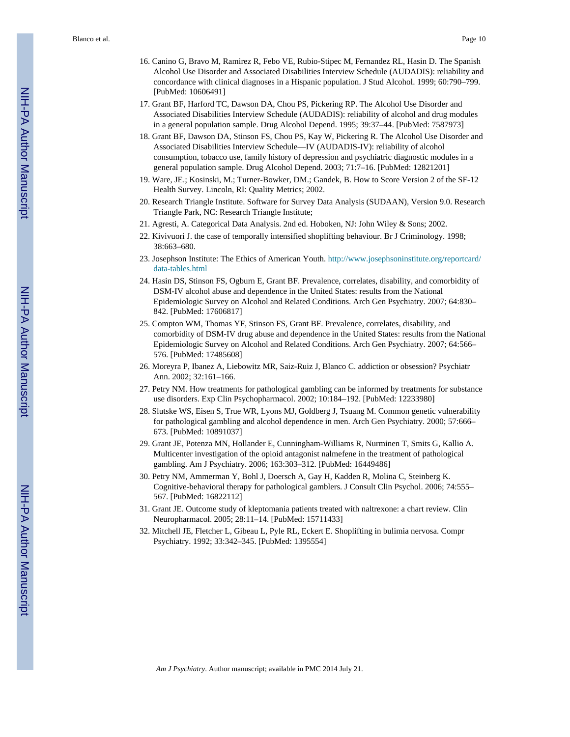- 16. Canino G, Bravo M, Ramirez R, Febo VE, Rubio-Stipec M, Fernandez RL, Hasin D. The Spanish Alcohol Use Disorder and Associated Disabilities Interview Schedule (AUDADIS): reliability and concordance with clinical diagnoses in a Hispanic population. J Stud Alcohol. 1999; 60:790–799. [PubMed: 10606491]
- 17. Grant BF, Harford TC, Dawson DA, Chou PS, Pickering RP. The Alcohol Use Disorder and Associated Disabilities Interview Schedule (AUDADIS): reliability of alcohol and drug modules in a general population sample. Drug Alcohol Depend. 1995; 39:37–44. [PubMed: 7587973]
- 18. Grant BF, Dawson DA, Stinson FS, Chou PS, Kay W, Pickering R. The Alcohol Use Disorder and Associated Disabilities Interview Schedule—IV (AUDADIS-IV): reliability of alcohol consumption, tobacco use, family history of depression and psychiatric diagnostic modules in a general population sample. Drug Alcohol Depend. 2003; 71:7–16. [PubMed: 12821201]
- 19. Ware, JE.; Kosinski, M.; Turner-Bowker, DM.; Gandek, B. How to Score Version 2 of the SF-12 Health Survey. Lincoln, RI: Quality Metrics; 2002.
- 20. Research Triangle Institute. Software for Survey Data Analysis (SUDAAN), Version 9.0. Research Triangle Park, NC: Research Triangle Institute;
- 21. Agresti, A. Categorical Data Analysis. 2nd ed. Hoboken, NJ: John Wiley & Sons; 2002.
- 22. Kivivuori J. the case of temporally intensified shoplifting behaviour. Br J Criminology. 1998; 38:663–680.
- 23. Josephson Institute: The Ethics of American Youth. [http://www.josephsoninstitute.org/reportcard/](http://www.josephsoninstitute.org/reportcard/data-tables.html) [data-tables.html](http://www.josephsoninstitute.org/reportcard/data-tables.html)
- 24. Hasin DS, Stinson FS, Ogburn E, Grant BF. Prevalence, correlates, disability, and comorbidity of DSM-IV alcohol abuse and dependence in the United States: results from the National Epidemiologic Survey on Alcohol and Related Conditions. Arch Gen Psychiatry. 2007; 64:830– 842. [PubMed: 17606817]
- 25. Compton WM, Thomas YF, Stinson FS, Grant BF. Prevalence, correlates, disability, and comorbidity of DSM-IV drug abuse and dependence in the United States: results from the National Epidemiologic Survey on Alcohol and Related Conditions. Arch Gen Psychiatry. 2007; 64:566– 576. [PubMed: 17485608]
- 26. Moreyra P, Ibanez A, Liebowitz MR, Saiz-Ruiz J, Blanco C. addiction or obsession? Psychiatr Ann. 2002; 32:161–166.
- 27. Petry NM. How treatments for pathological gambling can be informed by treatments for substance use disorders. Exp Clin Psychopharmacol. 2002; 10:184–192. [PubMed: 12233980]
- 28. Slutske WS, Eisen S, True WR, Lyons MJ, Goldberg J, Tsuang M. Common genetic vulnerability for pathological gambling and alcohol dependence in men. Arch Gen Psychiatry. 2000; 57:666– 673. [PubMed: 10891037]
- 29. Grant JE, Potenza MN, Hollander E, Cunningham-Williams R, Nurminen T, Smits G, Kallio A. Multicenter investigation of the opioid antagonist nalmefene in the treatment of pathological gambling. Am J Psychiatry. 2006; 163:303–312. [PubMed: 16449486]
- 30. Petry NM, Ammerman Y, Bohl J, Doersch A, Gay H, Kadden R, Molina C, Steinberg K. Cognitive-behavioral therapy for pathological gamblers. J Consult Clin Psychol. 2006; 74:555– 567. [PubMed: 16822112]
- 31. Grant JE. Outcome study of kleptomania patients treated with naltrexone: a chart review. Clin Neuropharmacol. 2005; 28:11–14. [PubMed: 15711433]
- 32. Mitchell JE, Fletcher L, Gibeau L, Pyle RL, Eckert E. Shoplifting in bulimia nervosa. Compr Psychiatry. 1992; 33:342–345. [PubMed: 1395554]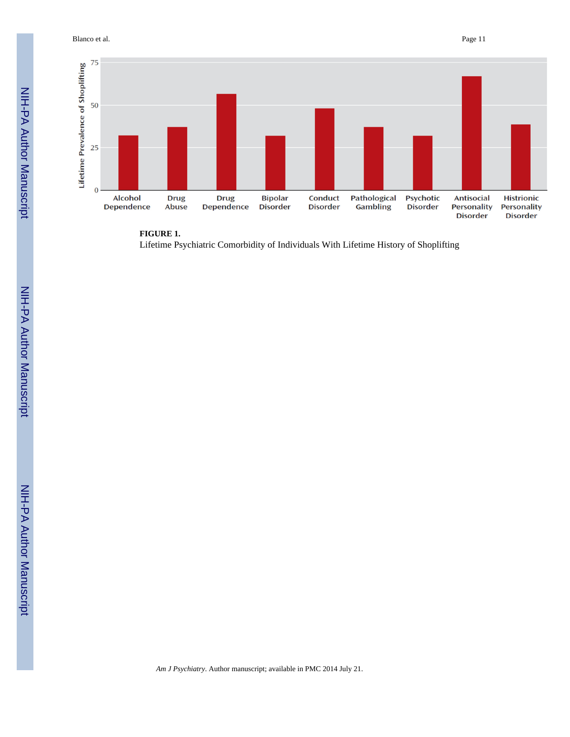Blanco et al. Page 11





**FIGURE 1.** Lifetime Psychiatric Comorbidity of Individuals With Lifetime History of Shoplifting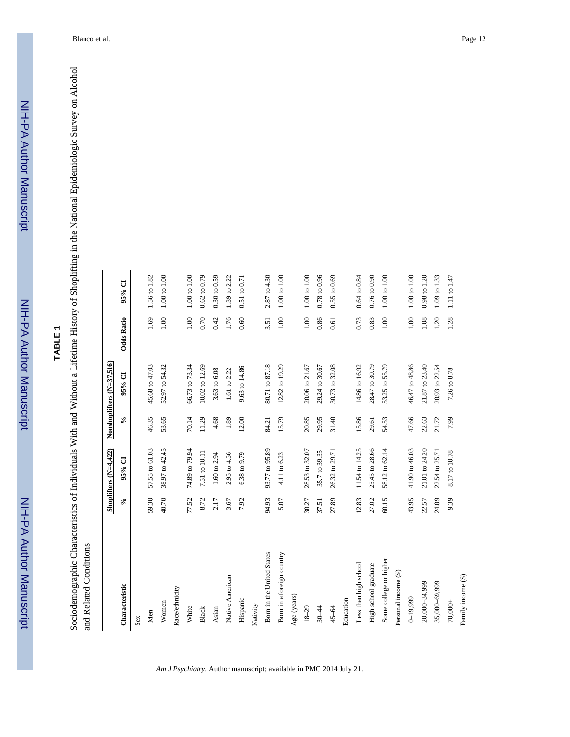## **TABLE 1**

Sociodemographic Characteristics of Individuals With and Without a Lifetime History of Shoplifting in the National Epidemiologic Survey on Alcohol Sociodemographic Characteristics of Individuals With and Without a Lifetime History of Shoplifting in the National Epidemiologic Survey on Alcohol and Related Conditions and Related Conditions

|                           |                            | Shoplifters (N=4,422) |        | Nonshoplifters (N=37,516) |                   |                               |
|---------------------------|----------------------------|-----------------------|--------|---------------------------|-------------------|-------------------------------|
| Characteristic            | $\mathcal{S}_{\mathbf{0}}$ | 95% CI                | $\sim$ | 95% CI                    | <b>Odds Ratio</b> | 95% CI                        |
| Sex                       |                            |                       |        |                           |                   |                               |
| Men                       | 59.30                      | 57.55 to 61.03        | 46.35  | 45.68 to 47.03            | 1.69              | 1.56 to 1.82                  |
| Women                     | 40.70                      | 38.97 to 42.45        | 53.65  | 52.97 to 54.32            | 1.00              | $1.00 \text{ to } 1.00$       |
| Race/ethnicity            |                            |                       |        |                           |                   |                               |
| White                     | 77.52                      | 74.89 to 79.94        | 70.14  | 66.73 to 73.34            | 00.1              | 1.00 to 1.00                  |
| <b>Black</b>              | 8.72                       | 7.51 to 10.11         | 11.29  | 10.02 to 12.69            | 0.70              | $0.62 \text{ to } 0.79$       |
| Asian                     | 2.17                       | 1.60 to 2.94          | 4.68   | 3.63 to 6.08              | 0.42              | $0.30 \text{ to } 0.59$       |
| Native American           | 3.67                       | 2.95 to 4.56          | 1.89   | 1.61 to 2.22              | 1.76              | 1.39 to 2.22                  |
| Hispanic                  | 7.92                       | 6.38 to 9.79          | 12.00  | 9.63 to 14.86             | 0.60              | 0.51 to 0.71                  |
| Nativity                  |                            |                       |        |                           |                   |                               |
| Born in the United States | 94.93                      | 93.77 to 95.89        | 84.21  | 80.71 to 87.18            | 3.51              | 2.87 to 4.30                  |
| Born in a foreign country | 5.07                       | 4.11 to 6.23          | 15.79  | 12.82 to 19.29            | 1.00              | $1.00 \; \mathrm{to} \; 1.00$ |
| Age (years)               |                            |                       |        |                           |                   |                               |
| $18 - 29$                 | 30.27                      | 28.53 to 32.07        | 20.85  | 20.06 to 21.67            | 1.00              | $1.00 \text{ to } 1.00$       |
| $30 - 44$                 | 37.51                      | 35.7 to 39.35         | 29.95  | 29.24 to 30.67            | 0.86              | 0.78 to 0.96                  |
| $45 - 64$                 | 27.89                      | 26.32 to 29.71        | 31.40  | 30.73 to 32.08            | 0.61              | $0.55 \text{ to } 0.69$       |
| Education                 |                            |                       |        |                           |                   |                               |
| Less than high school     | 12.83                      | 11.54 to 14.25        | 15.86  | 14.86 to 16.92            | 0.73              | $0.64 \text{ to } 0.84$       |
| High school graduate      | 27.02                      | 25.45 to 28.66        | 29.61  | 28.47 to 30.79            | 0.83              | $0.76 \text{ to } 0.90$       |
| Some college or higher    | 60.15                      | 58.12 to 62.14        | 54.53  | 53.25 to 55.79            | $1.00\,$          | $1.00 \text{ to } 1.00$       |
| Personal income (\$)      |                            |                       |        |                           |                   |                               |
| $0 - 19,999$              | 43.95                      | 41.90 to 46.03        | 47.66  | 46.47 to 48.86            | 1.00              | $1.00 \text{ to } 1.00$       |
| 20,000-34,999             | 22.57                      | 21.01 to 24.20        | 22.63  | 21.87 to 23.40            | 1.08              | $0.98$ to $1.20$              |
| 35,000-69,999             | 24.09                      | 22.54 to 25.71        | 21.72  | 20.93 to 22.54            | 1.20              | $1.09$ to $1.33$              |
| 70,000+                   | 9.39                       | 8.17 to 10.78         | 7.99   | 7.26 to 8.78              | 1.28              | 1.11 to 1.47                  |
| Family income (\$)        |                            |                       |        |                           |                   |                               |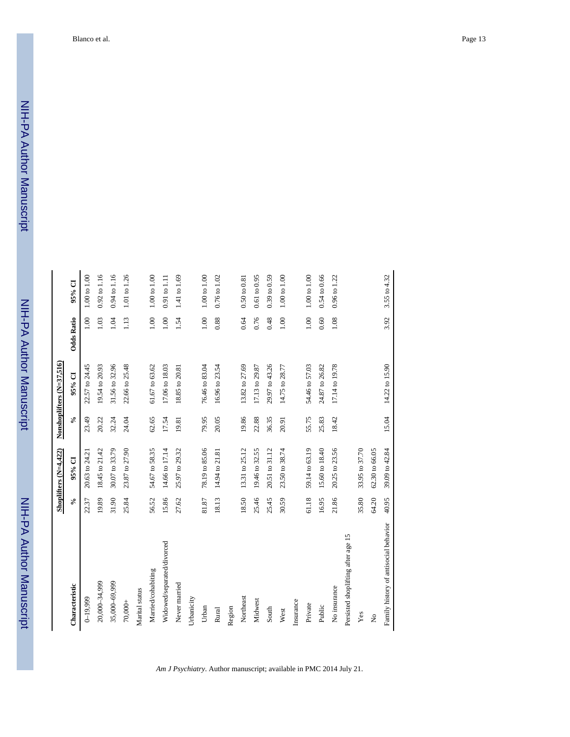|                                       |                         | Shoplifters (N=4,422) |       | Nonshoplifters (N=37,516) |                   |                         |
|---------------------------------------|-------------------------|-----------------------|-------|---------------------------|-------------------|-------------------------|
| Characteristic                        | $\mathcal{S}_{\bullet}$ | $95%$ CI              | ℅     | 95% CI                    | <b>Odds Ratio</b> | 95% CI                  |
| $0 - 19,999$                          | 22.37                   | 20.63 to 24.21        | 23.49 | 22.57 to 24.45            | 00.1              | 1.00 to 1.00            |
| 20,000-34,999                         | 19.89                   | 18.45 to 21.42        | 20.22 | 19.54 to 20.93            | 1.03              | $0.92$ to $1.16$        |
| 35,000-69,999                         | 31.90                   | 30.07 to 33.79        | 32.24 | 31.56 to 32.96            | 1.04              | 0.94 to 1.16            |
| 70,000+                               | 25.84                   | 23.87 to 27.90        | 24.04 | 22.66 to 25.48            | 1.13              | 1.01 to 1.26            |
| Marital status                        |                         |                       |       |                           |                   |                         |
| Married/cohabiting                    | 56.52                   | 54.67 to 58.35        | 62.65 | 61.67 to 63.62            | 00.1              | $1.00 \text{ to } 1.00$ |
| Widowed/separated/divorced            | 15.86                   | 14.66 to 17.14        | 17.54 | 17.06 to 18.03            | 00.1              | $0.91$ to $1.11$        |
| Never married                         | 27.62                   | 25.97 to 29.32        | 19.81 | 18.85 to 20.81            | 1.54              | 1.41 to 1.69            |
| Urbanicity                            |                         |                       |       |                           |                   |                         |
| Urban                                 | 81.87                   | 78.19 to 85.06        | 79.95 | 76.46 to 83.04            | 00.1              | 1.00 to 1.00            |
| Rural                                 | 18.13                   | 14.94 to 21.81        | 20.05 | 16.96 to 23.54            | 0.88              | $0.76 \text{ to } 1.02$ |
| Region                                |                         |                       |       |                           |                   |                         |
| Northeast                             | 18.50                   | 13.31 to 25.12        | 19.86 | 13.82 to 27.69            | 0.64              | $0.50 \text{ to } 0.81$ |
| Midwest                               | 25.46                   | 19.46 to 32.55        | 22.88 | 17.13 to 29.87            | 0.76              | 0.61 to 0.95            |
| South                                 | 25.45                   | 20.51 to 31.12        | 36.35 | 29.97 to 43.26            | 0.48              | $0.39 \text{ to } 0.59$ |
| West                                  | 30.59                   | 23.50 to 38.74        | 20.91 | 14.75 to 28.77            | 1.00              | $1.00$ to $1.00$        |
| Insurance                             |                         |                       |       |                           |                   |                         |
| Private                               | 61.18                   | 59.14 to 63.19        | 55.75 | 54.46 to 57.03            | 00.1              | $1.00$ to $1.00$        |
| Public                                | 16.95                   | 15.60 to 18.40        | 25.83 | 24.87 to 26.82            | 0.60              | $0.54 \text{ to } 0.66$ |
| No insurance                          | 21.86                   | 20.25 to 23.56        | 18.42 | 17.14 to 19.78            | 1.08              | $0.96$ to $1.22$        |
| Persisted shoplifting after age 15    |                         |                       |       |                           |                   |                         |
| Yes                                   | 35.80                   | 33.95 to 37.70        |       |                           |                   |                         |
| $\tilde{z}$                           | 64.20                   | 62.30 to 66.05        |       |                           |                   |                         |
| Family history of antisocial behavior | 40.95                   | 39.09 to 42.84        | 15.04 | 14.22 to 15.90            | 3.92              | 3.55 to 4.32            |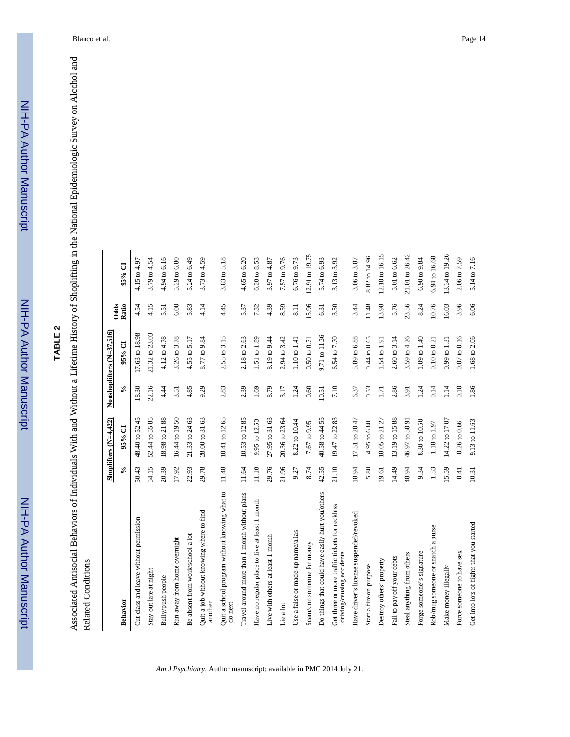## **TABLE 2**

Associated Antisocial Behaviors of Individuals With and Without a Lifetime History of Shoplifting in the National Epidemiologic Survey on Alcohol and Associated Antisocial Behaviors of Individuals With and Without a Lifetime History of Shoplifting in the National Epidemiologic Survey on Alcohol and Related Conditions Related Conditions

|                                                                             |       | Shoplifters (N=4,422)   |                         | Nonshoplifters (N=37,516) | Odds              |                |
|-----------------------------------------------------------------------------|-------|-------------------------|-------------------------|---------------------------|-------------------|----------------|
| <b>Behavior</b>                                                             | ್ಲಿ   | 95% CI                  | $\mathcal{S}_{\bullet}$ | $95%$ CI                  | Ratio             | $95%$ CI       |
| Cut class and leave without permission                                      | 50.43 | 48.40 to 52.45          | 18.30                   | 17.63 to 18.98            | 4.54              | 4.15 to 4.97   |
| Stay out late at night                                                      | 54.15 | 52.44 to 55.85          | 22.16                   | 21.32 to 23.03            | 4.15              | 3.79 to 4.54   |
| Bully/push people                                                           | 20.39 | 18.98 to 21.88          | 4.44                    | 4.12 to 4.78              | 5.51              | 4.94 to 6.16   |
| Run away from home overnight                                                | 17.92 | 16.44 to 19.50          | 3.51                    | 3.26 to 3.78              | 6.00              | 5.29 to 6.80   |
| Be absent from work/school a lot                                            | 22.93 | 21.33 to 24.63          | 4.85                    | 4.55 to 5.17              | 5.83              | 5.24 to 6.49   |
| Quit a job without knowing where to find<br>another                         | 29.78 | 28.00 to 31.63          | 9.29                    | 8.77 to 9.84              | 4.14              | 3.73 to 4.59   |
| Quit a school program without knowing what to<br>do next                    | 11.48 | 10.41 to 12.65          | 2.83                    | 2.55 to 3.15              | 4.45              | 3.83 to 5.18   |
| Travel around more than 1 month without plans                               | 11.64 | 10.53 to 12.85          | 2.39                    | 2.18 to 2.63              | 5.37              | 4.65 to 6.20   |
| Have no regular place to live at least 1 month                              | 11.18 | 9.95 to 12.53           | 1.69                    | 1.51 to 1.89              | 7.32              | 6.28 to 8.53   |
| Live with others at least 1 month                                           | 29.76 | 27.95 to 31.63          | 8.79                    | 8.19 to 9.44              | 4.39              | 3.97 to 4.87   |
| Lie a lot                                                                   | 21.96 | 20.36 to 23.64          | 3.17                    | 2.94 to 3.42              | 8.59              | 7.57 to 9.76   |
| Use a false or made-up name/alias                                           | 9.27  | 8.22 to 10.44           | 1.24                    | 1.10 to 1.41              | $\overline{8.11}$ | 6.76 to 9.73   |
| Scam/con someone for money                                                  | 8.74  | 7.67 to 9.95            | 0.60                    | $0.50 \text{ to } 0.71$   | 15.96             | 12.91 to 19.75 |
| Do things that could have easily hurt you/others                            | 42.55 | 40.58 to 44.55          | 10.51                   | 9.71 to 11.36             | 6.31              | 5.74 to 6.93   |
| Get three or more traffic tickets for reckless<br>driving/causing accidents | 21.10 | 19.47 to 22.83          | 7.10                    | 6.54 to 7.70              | 3.50              | 3.13 to 3.92   |
| Have driver's license suspended/revoked                                     | 18.94 | 17.51 to 20.47          | 6.37                    | 5.89 to 6.88              | 3.44              | 3.06 to 3.87   |
| Start a fire on purpose                                                     | 5.80  | 4.95 to 6.80            | 0.53                    | 0.44 to 0.65              | 11.48             | 8.82 to 14.96  |
| Destroy others' property                                                    | 19.61 | 18.05 to 21.27          | 1.71                    | 1.54 to 1.91              | 13.98             | 12.10 to 16.15 |
| Fail to pay off your debts                                                  | 14.49 | 13.19 to 15.88          | 2.86                    | 2.60 to 3.14              | 5.76              | 5.01 to 6.62   |
| Steal anything from others                                                  | 48.94 | 46.97 to 50.91          | 3.91                    | 3.59 to 4.26              | 23.56             | 21.01 to 26.42 |
| Forge someone's signature                                                   | 9.34  | 8.30 to 10.50           | 1.24                    | 1.09 to 1.40              | 8.24              | 6.90 to 9.84   |
| Rob/mug someone or snatch a purse                                           | 1.53  | 1.18 to 1.97            | 0.14                    | $0.10 \text{ to } 0.21$   | 10.76             | 6.94 to 16.68  |
| Make money illegally                                                        | 15.59 | 14.22 to 17.07          | 1.14                    | 0.99 to 1.31              | 16.03             | 13.34 to 19.26 |
| Force someone to have sex                                                   | 0.41  | $0.26 \text{ to } 0.66$ | 0.10                    | 0.07 to 0.16              | 3.96              | 2.06 to 7.59   |
| Get into lots of fights that you started                                    | 10.31 | 9.13 to 11.63           | 1.86                    | 1.68 to 2.06              | 6.06              | 5.14 to 7.16   |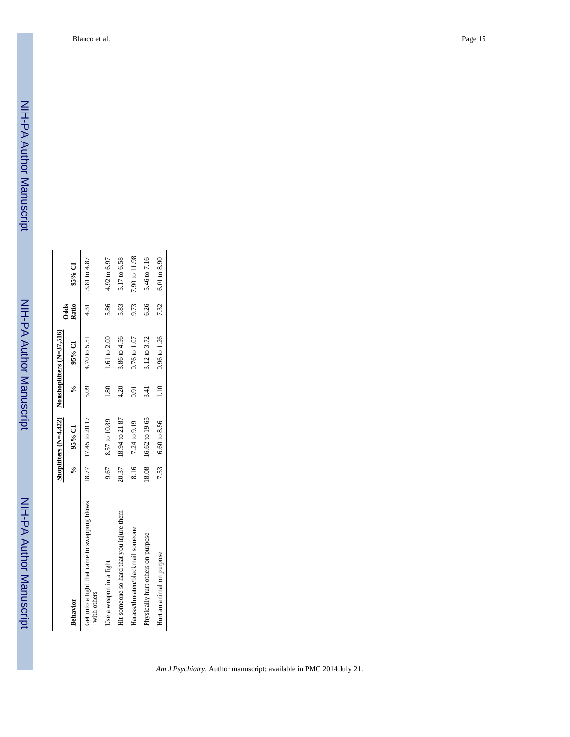|                                                             |                  | Shoplifters $(N=4, 422)$ |      | Nonshoplifters (N=37,516) |                      |               |
|-------------------------------------------------------------|------------------|--------------------------|------|---------------------------|----------------------|---------------|
| Behavior                                                    | $\delta_{\rm e}$ | 95% CI                   | ⊱    | $95%$ CI                  | Ratio<br><b>Odds</b> | $95%$ CI      |
| Get into a fight that came to swapping blows<br>with others |                  | 18.77 17.45 to 20.17     | 5.09 | 4.70 to 5.51              | 4.31                 | 3.81 to 4.87  |
| Use a weapon in a fight                                     | 9.67             | 8.57 to 10.89            | 1.80 | $1.61$ to $2.00$          | 5.86                 | 4.92 to 6.97  |
| Hit someone so hard that you injure them                    | 20.37            | 18.94 to 21.87           | 4.20 | 3.86 to 4.56              | 5.83                 | 5.17 to 6.58  |
| Harass/threaten/blackmail someone                           | 8.16             | 7.24 to 9.19             | 0.91 | $0.76 \text{ to } 1.07$   | 9.73                 | 7.90 to 11.98 |
| Physically hurt others on purpose                           | 18.08            | 16.62 to 19.65           | 3.41 | 3.12 to 3.72              | 6.26                 | 5.46 to 7.16  |
| Hurt an animal on purpose                                   |                  | 7.53 6.60 to 8.56        | 1.10 | 0.96 to 1.26              | 7.32                 | 6.01 to 8.90  |
|                                                             |                  |                          |      |                           |                      |               |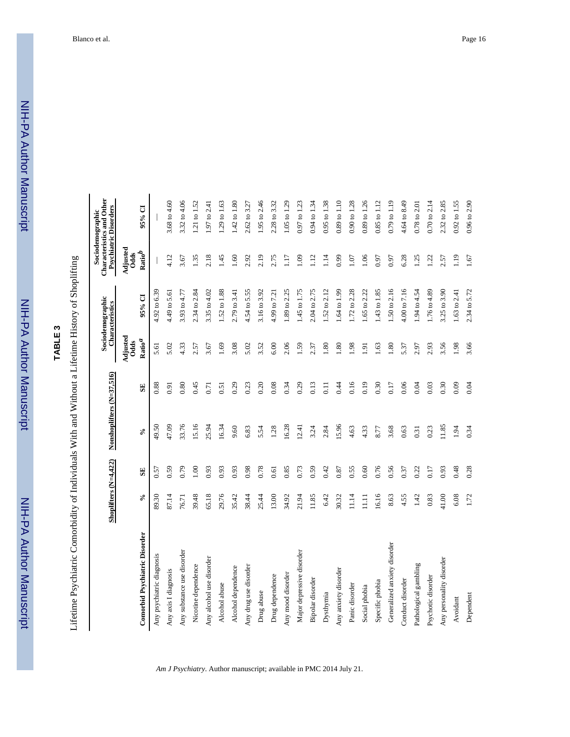# **TABLE 3**

Lifetime Psychiatric Comorbidity of Individuals With and Without a Lifetime History of Shoplifting Lifetime Psychiatric Comorbidity of Individuals With and Without a Lifetime History of Shoplifting

|                               | Shoplifters (N=4,422) |      | Nonshoplifters (N=37,516) |      |                                | Sociodemographic<br>Characteristics |                         | Characteristics and Other<br>Psychiatric Disorders<br>Sociodemographic |
|-------------------------------|-----------------------|------|---------------------------|------|--------------------------------|-------------------------------------|-------------------------|------------------------------------------------------------------------|
|                               |                       |      |                           |      | Adjusted<br><b>Odds</b>        |                                     | Adjusted<br><b>Odds</b> |                                                                        |
| Comorbid Psychiatric Disorder | ℅                     | SE   | $\epsilon$                | SE   | $\mathrm{Ratio}^{\mathcal{A}}$ | $95%$ CI                            | $\mathrm{Ratio}^b$      | $95%$ CI                                                               |
| Any psychiatric diagnosis     | 89.30                 | 0.57 | 49.50                     | 0.88 | 5.61                           | 4.92 to 6.39                        |                         |                                                                        |
| Any axis I diagnosis          | 87.14                 | 0.59 | 47.09                     | 0.91 | 5.02                           | 4.49 to 5.61                        | 4.12                    | 3.68 to 4.60                                                           |
| Any substance use disorder    | 76.71                 | 0.79 | 33.76                     | 0.80 | 4.33                           | 3.93 to 4.77                        | 3.67                    | 3.32 to 4.06                                                           |
| Nicotine dependence           | 39.48                 | 1.00 | 15.16                     | 0.45 | 2.57                           | 2.34 to 2.84                        | 1.35                    | 1.21 to 1.52                                                           |
| Any alcohol use disorder      | 65.18                 | 0.93 | 25.94                     | 0.71 | 3.67                           | 3.35 to 4.02                        | 2.18                    | 1.97 to 2.41                                                           |
| Alcohol abuse                 | 29.76                 | 0.93 | 16.34                     | 0.51 | 1.69                           | 1.52 to 1.88                        | 1.45                    | 1.29 to 1.63                                                           |
| Alcohol dependence            | 35.42                 | 0.93 | 9.60                      | 0.29 | 3.08                           | 2.79 to 3.41                        | 1.60                    | 1.42 to 1.80                                                           |
| Any drug use disorder         | 38.44                 | 0.98 | 6.83                      | 0.23 | 5.02                           | 4.54 to 5.55                        | 2.92                    | 2.62 to 3.27                                                           |
| Drug abuse                    | 25.44                 | 0.78 | 5.54                      | 0.20 | 3.52                           | 3.16 to 3.92                        | 2.19                    | 1.95 to 2.46                                                           |
| Drug dependence               | 13.00                 | 0.61 | 1.28                      | 0.08 | 6.00                           | 4.99 to 7.21                        | 2.75                    | 2.28 to 3.32                                                           |
| Any mood disorder             | 34.92                 | 0.85 | 16.28                     | 0.34 | 2.06                           | 1.89 to 2.25                        | 1.17                    | 1.05 to 1.29                                                           |
| Major depressive disorder     | 21.94                 | 0.73 | 12.41                     | 0.29 | 1.59                           | 1.45 to 1.75                        | 1.09                    | 0.97 to 1.23                                                           |
| Bipolar disorder              | 11.85                 | 0.59 | 3.24                      | 0.13 | 2.37                           | 2.04 to 2.75                        | 1.12                    | 0.94 to 1.34                                                           |
| Dysthymia                     | 6.42                  | 0.42 | 2.84                      | 0.11 | $1.80\,$                       | 1.52 to 2.12                        | 1.14                    | $0.95$ to $1.38$                                                       |
| Any anxiety disorder          | 30.32                 | 0.87 | 15.96                     | 0.44 | 1.80                           | $.64 \text{ to } 1.99$              | 66.0                    | 0.89 to 1.10                                                           |
| Panic disorder                | 11.14                 | 0.55 | 4.63                      | 0.16 | 1.98                           | 1.72 to 2.28                        | 1.07                    | 0.90 to 1.28                                                           |
| Social phobia                 | $\Xi$                 | 0.60 | 4.33                      | 0.19 | 1.91                           | $.65 \text{ to } 2.22$              | 1.06                    | 0.89 to 1.26                                                           |
| Specific phobia               | 16.16                 | 0.76 | 8.77                      | 0.30 | 1.63                           | 1.43 to 1.85                        | 0.97                    | $0.85$ to $1.12$                                                       |
| Generalized anxiety disorder  | 8.63                  | 0.56 | 3.68                      | 0.17 | 1.80                           | 1.50 to 2.16                        | 0.97                    | 0.79 to 1.19                                                           |
| Conduct disorder              | 4.55                  | 0.37 | 0.63                      | 0.06 | 5.37                           | 4.00 to 7.16                        | 6.28                    | 4.64 to 8.49                                                           |
| Pathological gambling         | 1.42                  | 0.22 | 0.31                      | 0.04 | 2.97                           | 1.94 to 4.54                        | 1.25                    | 0.78 to 2.01                                                           |
| Psychotic disorder            | 0.83                  | 0.17 | 0.23                      | 0.03 | 2.93                           | .76 to 4.89                         | 1.22                    | 0.70 to 2.14                                                           |
| Any personality disorder      | 41.00                 | 0.93 | 11.85                     | 0.30 | 3.56                           | 3.25 to 3.90                        | 2.57                    | 2.32 to 2.85                                                           |
| Avoidant                      | 6.08                  | 0.48 | 1.94                      | 0.09 | 1.98                           | 1.63 to 2.41                        | $\frac{1}{2}$           | 0.92 to 1.55                                                           |
| Dependent                     | 1.72                  | 0.28 | 0.34                      | 0.04 | 3.66                           | 2.34 to 5.72                        | 1.67                    | $0.96 \text{ to } 2.90$                                                |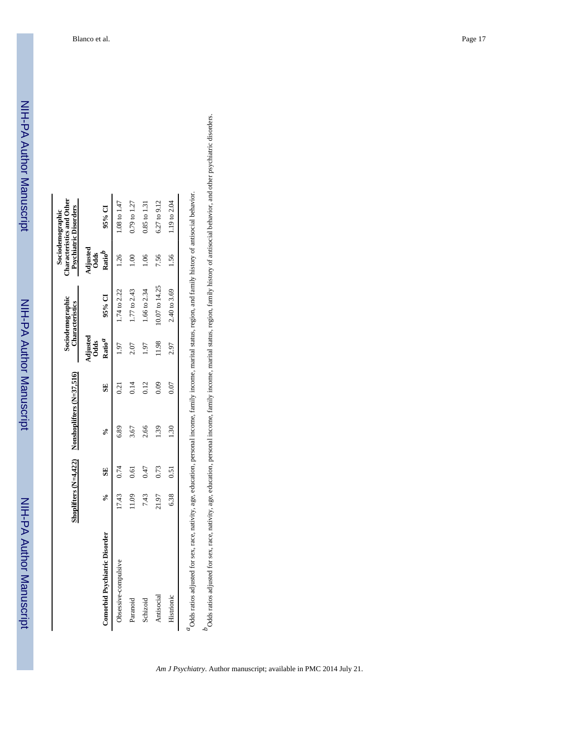|                               | Shoplifters $(N=4,422)$ |                        | Nonshoplifters (N=37,516) |      |                                               | Sociodemographic<br>Characteristics |                                               | Characteristics and Other<br><b>Psychiatric Disorders</b> |
|-------------------------------|-------------------------|------------------------|---------------------------|------|-----------------------------------------------|-------------------------------------|-----------------------------------------------|-----------------------------------------------------------|
| Comorbid Psychiatric Disorder | ℅                       | $\overline{\text{SE}}$ | ⊱°                        | SE   | Ratio <sup>d</sup><br>Adjusted<br><b>Odds</b> | 95% CI                              | Adjusted<br>Ratio <sup>b</sup><br><b>Odds</b> | 95% CI                                                    |
| Obsessive-compulsive          |                         | $17.43$ 0.74           | 6.89                      | 0.21 | 1.97                                          | 1.74 to 2.22                        | 1.26                                          | 1.08 to 1.47                                              |
| Paranoid                      | 1.09                    | 0.61                   | 3.67                      | 0.14 | 2.07                                          | 1.77 to 2.43                        | $\frac{8}{1}$                                 | 0.79 to 1.27                                              |
| Schizoid                      | 7.43                    | 0.47                   | 2.66                      | 0.12 | $-97$                                         | 1.66 to 2.34                        | 1.06                                          | $0.85 \text{ to } 1.31$                                   |
| Antisocial                    | 21.97                   | 0.73                   | 1.39                      | 0.09 | 11.98                                         | $0.07$ to $14.25$                   | 7.56                                          | 6.27 to 9.12                                              |
| Histrionic                    | 6.38                    | 0.51                   | $\ddot{30}$               | 0.07 | 2.97                                          | 2.40 to 3.69                        | 1.56                                          | 1.19 to 2.04                                              |

<sup>b</sup>Odds ratios adjusted for sex, race, nativity, age, education, personal income, family income, marital status, region, family history of antisocial behavior, and other psychiatric disorders. *b*Odds ratios adjusted for sex, race, nativity, age, education, personal income, family income, marital status, region, family history of antisocial behavior, and other psychiatric disorders.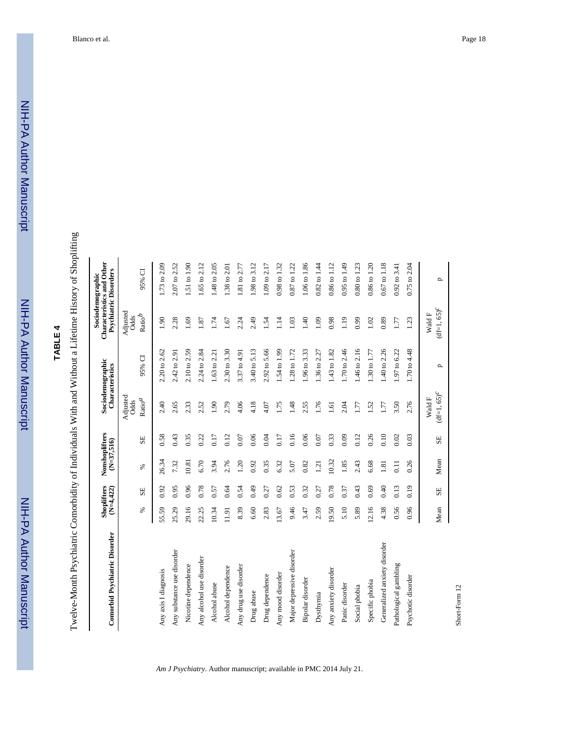NIH-PA Author Manuscript

NIH-PA Author Manuscript

**Shoplifters (N=4,422)**

Comorbid Psychiatric Disorder

1.85 2.43 6.68  $1.81$  $0.11$  $0.26$ 

0.43  $0.69$  $0.40$ 0.13  $0.19$ 

 $6.99$  $1.02$ 0.89  $1.77$ 1.23

 $0.92 \text{ to } 3.41$ 0.75 to 2.04

**Nonshoplifters (N=37,516)**

**Sociodemographic Characteristics**

Sociodemographic<br>Characteristics

**Sociodemographic Characteristics and Other Psychiatric Disorders**

Sociodemographic<br>Characteristics and Other<br>Psychiatric Disorders

| Adjusted<br>Ratio $b$<br><b>Odds</b><br>1.90<br>2.28<br>1.69<br>0.98<br>1.19<br>0.89<br>1.74<br>2.24<br>2.49<br>1.54<br>1.14<br>1.03<br>40<br>1.09<br>0.99<br>1.02<br>1.77<br>1.67<br>1.87<br>2.92 to 5.66<br>3.40 to 5.13<br>1.54 to 1.99<br>1.28 to 1.72<br>1.70 to 2.46<br>1.46 to 2.16<br>1.40 to 2.26<br>$2.20 \text{ to } 2.62$<br>2.10 to 2.59<br>$2.30 \text{ to } 3.30$<br>1.96 to 3.33<br>1.43 to 1.82<br>$1.30 \text{ to } 1.77$<br>1.97 to 6.22<br>$2.24 \text{ to } 2.84$<br>1.36 to 2.27<br>2.42 to 2.91<br>1.63 to 2.21<br>3.37 to 4.91<br>95% CI<br>Adjusted<br>Ratio <sup>d</sup><br><b>Odds</b><br>2.79<br>4.06<br>1.76<br>2.40<br>2.65<br>2.33<br>0611<br>4.18<br>1.75<br>1.48<br>2.55<br>2.04<br>3.50<br>2.52<br>4.07<br>1.52<br>1.77<br>1.77<br>1.61<br>0.06<br>0.16<br>0.06<br>0.26<br>0.10<br>0.58<br>0.43<br>0.35<br>0.17<br>0.12<br>0.04<br>0.17<br>0.33<br>0.09<br>0.12<br>0.02<br>0.22<br>0.07<br>0.07<br>SE<br>26.34<br>10.32<br>10.81<br>2.76<br>7.32<br>6.70<br>3.94<br>1.20<br>0.92<br>0.35<br>6.32<br>0.82<br>1.85<br>2.43<br>6.68<br>5.07<br>1.81<br>$\overline{0}$ .<br>1.21<br>%<br>0.96<br>0.40<br>0.64<br>0.54<br>0.49<br>0.53<br>0.32<br>0.37<br>0.69<br>0.13<br>0.92<br>0.95<br>0.78<br>0.57<br>0.27<br>0.62<br>0.78<br>0.43<br>0.27<br>SE<br>29.16<br>12.16<br>0.56<br>6.60<br>9.46<br>2.59<br>19.50<br>5.10<br>4.38<br>%<br>55.59<br>25.29<br>22.25<br>8.39<br>2.83<br>3.47<br>5.89<br>10.34<br>13.67<br>11.91<br>Generalized anxiety disorder<br>Major depressive disorder<br>Any substance use disorder<br>Any alcohol use disorder<br>Pathological gambling<br>Nicotine dependence<br>Any drug use disorder<br>Alcohol dependence<br>Any anxiety disorder<br>Any axis I diagnosis<br>Any mood disorder<br>Drug dependence<br>Bipolar disorder<br>Specific phobia<br>Panic disorder<br>Alcohol abuse<br>Social phobia<br>Drug abuse<br>Dysthymia | Comorbid Psychiatric Disorder | $(N=4,422)$ | $(N=37,516)$ |  | Characteristics | Psychiatric Disorders   |
|---------------------------------------------------------------------------------------------------------------------------------------------------------------------------------------------------------------------------------------------------------------------------------------------------------------------------------------------------------------------------------------------------------------------------------------------------------------------------------------------------------------------------------------------------------------------------------------------------------------------------------------------------------------------------------------------------------------------------------------------------------------------------------------------------------------------------------------------------------------------------------------------------------------------------------------------------------------------------------------------------------------------------------------------------------------------------------------------------------------------------------------------------------------------------------------------------------------------------------------------------------------------------------------------------------------------------------------------------------------------------------------------------------------------------------------------------------------------------------------------------------------------------------------------------------------------------------------------------------------------------------------------------------------------------------------------------------------------------------------------------------------------------------------------------------------------------------------------------------------------------------------------|-------------------------------|-------------|--------------|--|-----------------|-------------------------|
|                                                                                                                                                                                                                                                                                                                                                                                                                                                                                                                                                                                                                                                                                                                                                                                                                                                                                                                                                                                                                                                                                                                                                                                                                                                                                                                                                                                                                                                                                                                                                                                                                                                                                                                                                                                                                                                                                             |                               |             |              |  |                 |                         |
|                                                                                                                                                                                                                                                                                                                                                                                                                                                                                                                                                                                                                                                                                                                                                                                                                                                                                                                                                                                                                                                                                                                                                                                                                                                                                                                                                                                                                                                                                                                                                                                                                                                                                                                                                                                                                                                                                             |                               |             |              |  |                 | 95% CI                  |
|                                                                                                                                                                                                                                                                                                                                                                                                                                                                                                                                                                                                                                                                                                                                                                                                                                                                                                                                                                                                                                                                                                                                                                                                                                                                                                                                                                                                                                                                                                                                                                                                                                                                                                                                                                                                                                                                                             |                               |             |              |  |                 | $1.73$ to $2.09$        |
|                                                                                                                                                                                                                                                                                                                                                                                                                                                                                                                                                                                                                                                                                                                                                                                                                                                                                                                                                                                                                                                                                                                                                                                                                                                                                                                                                                                                                                                                                                                                                                                                                                                                                                                                                                                                                                                                                             |                               |             |              |  |                 | 2.07 to 2.52            |
|                                                                                                                                                                                                                                                                                                                                                                                                                                                                                                                                                                                                                                                                                                                                                                                                                                                                                                                                                                                                                                                                                                                                                                                                                                                                                                                                                                                                                                                                                                                                                                                                                                                                                                                                                                                                                                                                                             |                               |             |              |  |                 | 1.51 to 1.90            |
|                                                                                                                                                                                                                                                                                                                                                                                                                                                                                                                                                                                                                                                                                                                                                                                                                                                                                                                                                                                                                                                                                                                                                                                                                                                                                                                                                                                                                                                                                                                                                                                                                                                                                                                                                                                                                                                                                             |                               |             |              |  |                 | $1.65$ to $2.12$        |
|                                                                                                                                                                                                                                                                                                                                                                                                                                                                                                                                                                                                                                                                                                                                                                                                                                                                                                                                                                                                                                                                                                                                                                                                                                                                                                                                                                                                                                                                                                                                                                                                                                                                                                                                                                                                                                                                                             |                               |             |              |  |                 | 1.48 to 2.05            |
|                                                                                                                                                                                                                                                                                                                                                                                                                                                                                                                                                                                                                                                                                                                                                                                                                                                                                                                                                                                                                                                                                                                                                                                                                                                                                                                                                                                                                                                                                                                                                                                                                                                                                                                                                                                                                                                                                             |                               |             |              |  |                 | 1.38 to 2.01            |
|                                                                                                                                                                                                                                                                                                                                                                                                                                                                                                                                                                                                                                                                                                                                                                                                                                                                                                                                                                                                                                                                                                                                                                                                                                                                                                                                                                                                                                                                                                                                                                                                                                                                                                                                                                                                                                                                                             |                               |             |              |  |                 | 1.81 to 2.77            |
|                                                                                                                                                                                                                                                                                                                                                                                                                                                                                                                                                                                                                                                                                                                                                                                                                                                                                                                                                                                                                                                                                                                                                                                                                                                                                                                                                                                                                                                                                                                                                                                                                                                                                                                                                                                                                                                                                             |                               |             |              |  |                 | 1.98 to 3.12            |
|                                                                                                                                                                                                                                                                                                                                                                                                                                                                                                                                                                                                                                                                                                                                                                                                                                                                                                                                                                                                                                                                                                                                                                                                                                                                                                                                                                                                                                                                                                                                                                                                                                                                                                                                                                                                                                                                                             |                               |             |              |  |                 | 1.09 to 2.17            |
|                                                                                                                                                                                                                                                                                                                                                                                                                                                                                                                                                                                                                                                                                                                                                                                                                                                                                                                                                                                                                                                                                                                                                                                                                                                                                                                                                                                                                                                                                                                                                                                                                                                                                                                                                                                                                                                                                             |                               |             |              |  |                 | $0.98$ to $1.32$        |
|                                                                                                                                                                                                                                                                                                                                                                                                                                                                                                                                                                                                                                                                                                                                                                                                                                                                                                                                                                                                                                                                                                                                                                                                                                                                                                                                                                                                                                                                                                                                                                                                                                                                                                                                                                                                                                                                                             |                               |             |              |  |                 | $0.87$ to $1.22$        |
|                                                                                                                                                                                                                                                                                                                                                                                                                                                                                                                                                                                                                                                                                                                                                                                                                                                                                                                                                                                                                                                                                                                                                                                                                                                                                                                                                                                                                                                                                                                                                                                                                                                                                                                                                                                                                                                                                             |                               |             |              |  |                 | 1.06 to 1.86            |
|                                                                                                                                                                                                                                                                                                                                                                                                                                                                                                                                                                                                                                                                                                                                                                                                                                                                                                                                                                                                                                                                                                                                                                                                                                                                                                                                                                                                                                                                                                                                                                                                                                                                                                                                                                                                                                                                                             |                               |             |              |  |                 | $0.82$ to $1.44$        |
|                                                                                                                                                                                                                                                                                                                                                                                                                                                                                                                                                                                                                                                                                                                                                                                                                                                                                                                                                                                                                                                                                                                                                                                                                                                                                                                                                                                                                                                                                                                                                                                                                                                                                                                                                                                                                                                                                             |                               |             |              |  |                 | $0.86 \text{ to } 1.12$ |
|                                                                                                                                                                                                                                                                                                                                                                                                                                                                                                                                                                                                                                                                                                                                                                                                                                                                                                                                                                                                                                                                                                                                                                                                                                                                                                                                                                                                                                                                                                                                                                                                                                                                                                                                                                                                                                                                                             |                               |             |              |  |                 | $0.95$ to $1.49$        |
|                                                                                                                                                                                                                                                                                                                                                                                                                                                                                                                                                                                                                                                                                                                                                                                                                                                                                                                                                                                                                                                                                                                                                                                                                                                                                                                                                                                                                                                                                                                                                                                                                                                                                                                                                                                                                                                                                             |                               |             |              |  |                 | $0.80 \text{ to } 1.23$ |
|                                                                                                                                                                                                                                                                                                                                                                                                                                                                                                                                                                                                                                                                                                                                                                                                                                                                                                                                                                                                                                                                                                                                                                                                                                                                                                                                                                                                                                                                                                                                                                                                                                                                                                                                                                                                                                                                                             |                               |             |              |  |                 | $0.86 \text{ to } 1.20$ |
|                                                                                                                                                                                                                                                                                                                                                                                                                                                                                                                                                                                                                                                                                                                                                                                                                                                                                                                                                                                                                                                                                                                                                                                                                                                                                                                                                                                                                                                                                                                                                                                                                                                                                                                                                                                                                                                                                             |                               |             |              |  |                 | $0.67$ to $1.18$        |
|                                                                                                                                                                                                                                                                                                                                                                                                                                                                                                                                                                                                                                                                                                                                                                                                                                                                                                                                                                                                                                                                                                                                                                                                                                                                                                                                                                                                                                                                                                                                                                                                                                                                                                                                                                                                                                                                                             |                               |             |              |  |                 | $0.92$ to $3.41$        |

*Am J Psychiatry*. Author manuscript; available in PMC 2014 July 21.

| <b>Notion</b> |  |
|---------------|--|
|               |  |
|               |  |
|               |  |
|               |  |
|               |  |
|               |  |
|               |  |
|               |  |
| E             |  |
| <u>:</u>      |  |
|               |  |
|               |  |
| $rac{c}{2}$   |  |
|               |  |
|               |  |
|               |  |
|               |  |
|               |  |
|               |  |
|               |  |
|               |  |

Short-Form 12

Psychotic disorder 0.96 0.19 0.26 0.03 2.76 1.70 to 4.48 1.23 0.75 to 2.04

0.03

1.70 to 4.48

2.76

0.96

Psychotic disorder

Wald F (df=1, 65) *c*

Wald F (df=1, 65) *c*

 $\mathbf{p}$ 

 $\mathbf{p}$ 

Mean SE Mean SE

 $\mathbb{S}^{\mathbb{E}}$ 

Mean

Mean

 $\mathbb{S}^{\mathbb{E}}$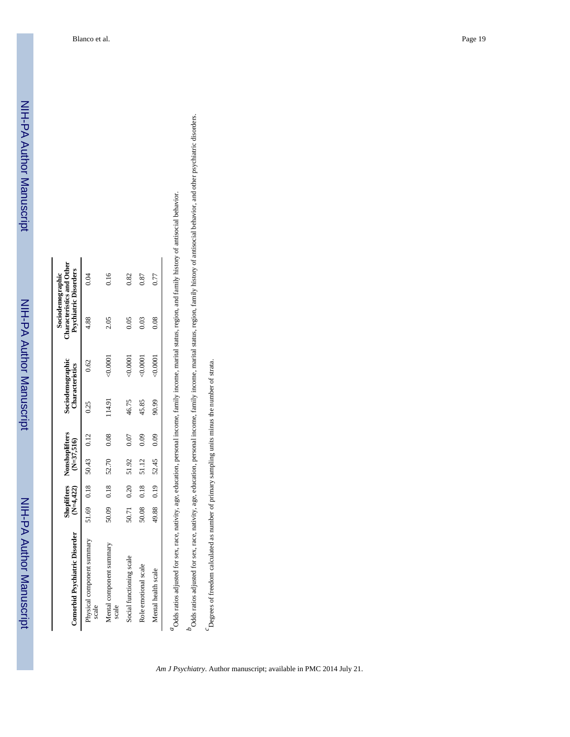| Comorbid Psychiatric Disorder       |       | $(N=4,422)$ | <b>Shoplifters</b> Nonshoplifters<br>$(N=37,516)$ |      |       | Sociodemographic<br>Characteristics |      | Characteristics and Other<br><b>Psychiatric Disorders</b><br>Sociodemographic |
|-------------------------------------|-------|-------------|---------------------------------------------------|------|-------|-------------------------------------|------|-------------------------------------------------------------------------------|
| Physical component summary<br>scale |       |             | $51.69$ 0.18 $50.43$ 0.12                         |      | 0.25  | 0.62                                |      |                                                                               |
| Mental component summary<br>scale   | 50.09 | 0.18        | 52.70                                             | 0.08 | 14.91 | 0.0001                              | 2.05 | 0.16                                                                          |
| Social functioning scale            | 50.71 | 0.20        | 51.92                                             | 0.07 | 46.75 | 30.0001                             | 0.05 | 0.82                                                                          |
| Role emotional scale                | 50.08 | 0.18        | 51.12                                             | 0.09 | 45.85 | 0.0001                              | 0.03 | 0.87                                                                          |
| Mental health scale                 |       |             | 49.88 $0.19$ 52.45 $0.09$                         |      | 90.99 | 0.0001                              | 0.08 | 0.77                                                                          |

antisocial behavior.

b Odds ratios adjusted for sex, race, nativity, age, education, personal income, family income, marital status, region, family history of antisocial behavior, and other psychiatric disorders. *b*Odds ratios adjusted for sex, race, nativity, age, education, personal income, family income, marital status, region, family history of antisocial behavior, and other psychiatric disorders.

 ${}^{\prime}$ Degrees of freedom calculated as number of primary sampling units minus the number of strata. *c*Degrees of freedom calculated as number of primary sampling units minus the number of strata.